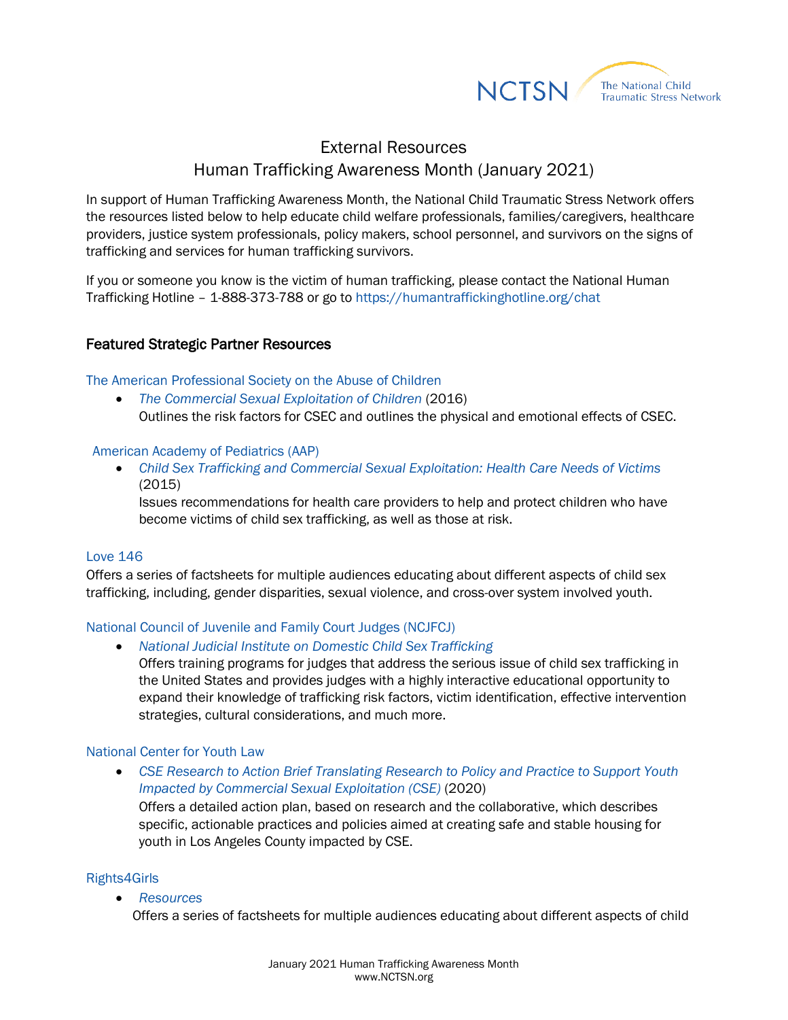

# External Resources Human Trafficking Awareness Month (January 2021)

In support of Human Trafficking Awareness Month, the National Child Traumatic Stress Network offers the resources listed below to help educate child welfare professionals, families/caregivers, healthcare providers, justice system professionals, policy makers, school personnel, and survivors on the signs of trafficking and services for human trafficking survivors.

If you or someone you know is the victim of human trafficking, please contact the National Human Trafficking Hotline – 1-888-373-788 or go to<https://humantraffickinghotline.org/chat>

# Featured Strategic Partner Resources

[The American Professional Society on the Abuse of Children](https://www.apsac.org/)

• [The Commercial Sexual Exploitation of Children](https://healtrafficking.org/wp-content/uploads/2017/06/APSAC-Commercial-Sexual-Exploitation-of-Children.pdf) (2016) Outlines the risk factors for CSEC and outlines the physical and emotional effects of CSEC.

# [American Academy of Pediatrics \(AAP\)](https://www.aap.org/en-us/Pages/Default.aspx)

• *[Child Sex Trafficking and Commercial Sexual Exploitation: Health Care Needs of Victims](https://pediatrics.aappublications.org/content/135/3/566)* (2015)

Issues recommendations for health care providers to help and protect children who have become victims of child sex trafficking, as well as those at risk.

# [Love 146](https://love146.org/)

Offers a series of factsheets for multiple audiences educating about different aspects of child sex trafficking, including, gender disparities, sexual violence, and cross-over system involved youth.

# [National Council of Juvenile and Family Court Judges \(NCJFCJ\)](http://www.ncjfcj.org/)

• *[National Judicial Institute on Domestic Child Sex](http://www.ncjfcj.org/DCST) Trafficking*

Offers training programs for judges that address the serious issue of child sex trafficking in the United States and provides judges with a highly interactive educational opportunity to expand their knowledge of trafficking risk factors, victim identification, effective intervention strategies, cultural considerations, and much more.

# [National Center for Youth Law](https://youthlaw.org/)

• *[CSE Research to Action Brief Translating Research to Policy and Practice to Support Youth](https://youthlaw.org/publication/research-to-action-brief-translating-research-to-policy-and-practice-to-support-youth-impacted-by-commercial-sexual-exploitation-cse/#:%7E:text=The%20CSE%20Research%20to%20Action,for%20youth%20impacted%20by%20CSE)  [Impacted by Commercial Sexual Exploitation \(CSE\)](https://youthlaw.org/publication/research-to-action-brief-translating-research-to-policy-and-practice-to-support-youth-impacted-by-commercial-sexual-exploitation-cse/#:%7E:text=The%20CSE%20Research%20to%20Action,for%20youth%20impacted%20by%20CSE)* (2020)

Offers a detailed action plan, based on research and the collaborative, which describes specific, actionable practices and policies aimed at creating safe and stable housing for youth in Los Angeles County impacted by CSE.

# [Rights4Girls](https://rights4girls.org/what-we-do/)

• *[Resources](https://rights4girls.org/resources/)*

Offers a series of factsheets for multiple audiences educating about different aspects of child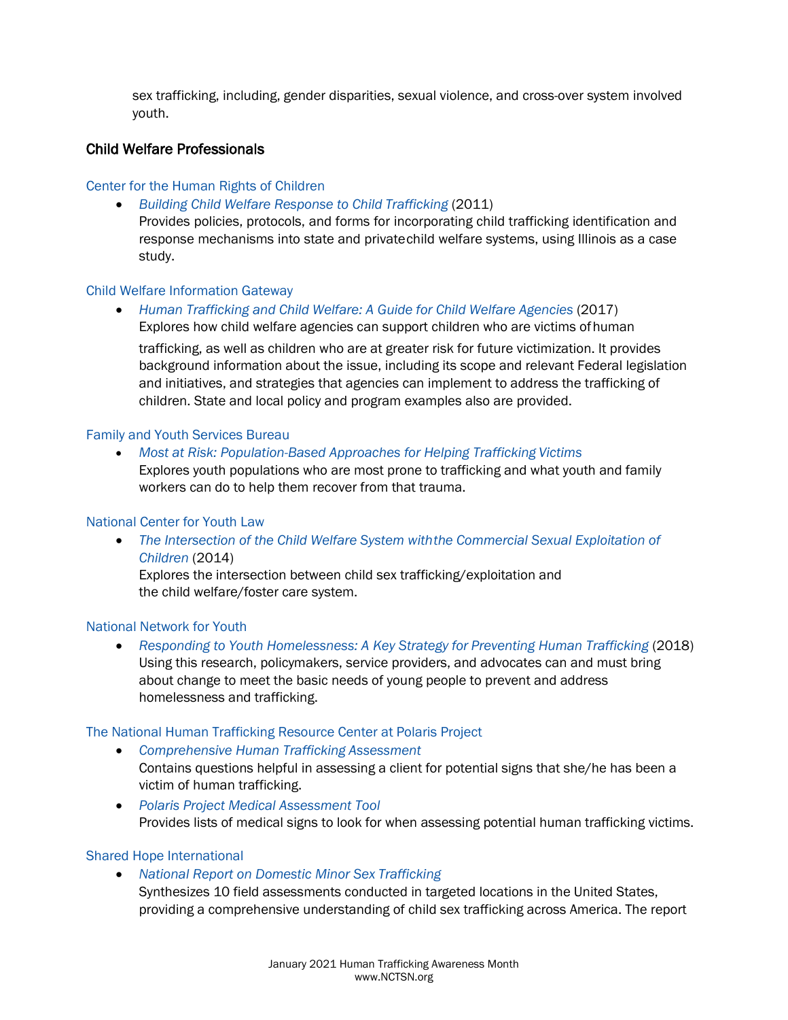sex trafficking, including, gender disparities, sexual violence, and cross-over system involved youth.

# Child Welfare Professionals

# [Center for the Human Rights of Children](http://www.luc.edu/chrc/index.shtml)

• *[Building Child Welfare Response to Child](https://www.luc.edu/media/lucedu/chrc/pdfs/BCWRHandbook2011.pdf) Trafficking* (2011) Provides policies, protocols, and forms for incorporating child trafficking identification and response mechanisms into state and privatechild welfare systems, using Illinois as a case study.

# [Child Welfare Information Gateway](https://www.childwelfare.gov/)

• [Human Trafficking and Child Welfare: A Guide for Child Welfare Agencies](https://www.childwelfare.gov/pubs/trafficking-agencies/) (2017) Explores how child welfare agencies can support children who are victims ofhuman

trafficking, as well as children who are at greater risk for future victimization. It provides background information about the issue, including its scope and relevant Federal legislation and initiatives, and strategies that agencies can implement to address the trafficking of children. State and local policy and program examples also are provided.

# [Family and Youth Services Bureau](https://www.acf.hhs.gov/fysb)

• *[Most at Risk: Population-Based Approaches for Helping Trafficking](https://youth.gov/federal-links/most-risk-population-based-approaches-helping-trafficking-victims) Victims*

Explores youth populations who are most prone to trafficking and what youth and family workers can do to help them recover from that trauma.

# [National Center for Youth Law](http://youthlaw.org/)

• *[The Intersection of the Child Welfare System withthe Commercial Sexual Exploitation of](http://youthlaw.org/wp-content/uploads/2015/03/FROM-ABUSED-AND-NEGLECTED-TO-ABUSED-AND-EXPLOITED.pdf) [Children](http://youthlaw.org/wp-content/uploads/2015/03/FROM-ABUSED-AND-NEGLECTED-TO-ABUSED-AND-EXPLOITED.pdf)* (2014) Explores the intersection between child sex trafficking/exploitation and the child welfare/foster care system.

# [National Network for Youth](https://www.nn4youth.org/)

• [Responding to Youth Homelessness: A Key Strategy for Preventing Human Trafficking](https://www.nn4youth.org/wp-content/uploads/NN4Y-2018-white-paper-human-trafficking-WEB-1.pdf) (2018) Using this research, policymakers, service providers, and advocates can and must bring about change to meet the basic needs of young people to prevent and address homelessness and trafficking.

# [The National Human Trafficking Resource Center at Polaris Project](https://polarisproject.org/resources-and-reports/)

• *[Comprehensive Human Trafficking](https://humantraffickinghotline.org/sites/default/files/Comprehensive%20Trafficking%20Assessment.pdf) Assessment*

Contains questions helpful in assessing a client for potential signs that she/he has been a victim of human trafficking.

• *[Polaris Project Medical Assessment Tool](https://www.safvic.org/wp-content/uploads/2016/01/Medical-Assessment-Tool-HT.pdf)* Provides lists of medical signs to look for when assessing potential human trafficking victims.

# [Shared Hope International](https://sharedhope.org/)

- *[National Report on Domestic Minor Sex](https://sharedhope.org/product/the-national-report-on-domestic-minor-sex-trafficking/) Trafficking*
	- Synthesizes 10 field assessments conducted in targeted locations in the United States, providing a comprehensive understanding of child sex trafficking across America. The report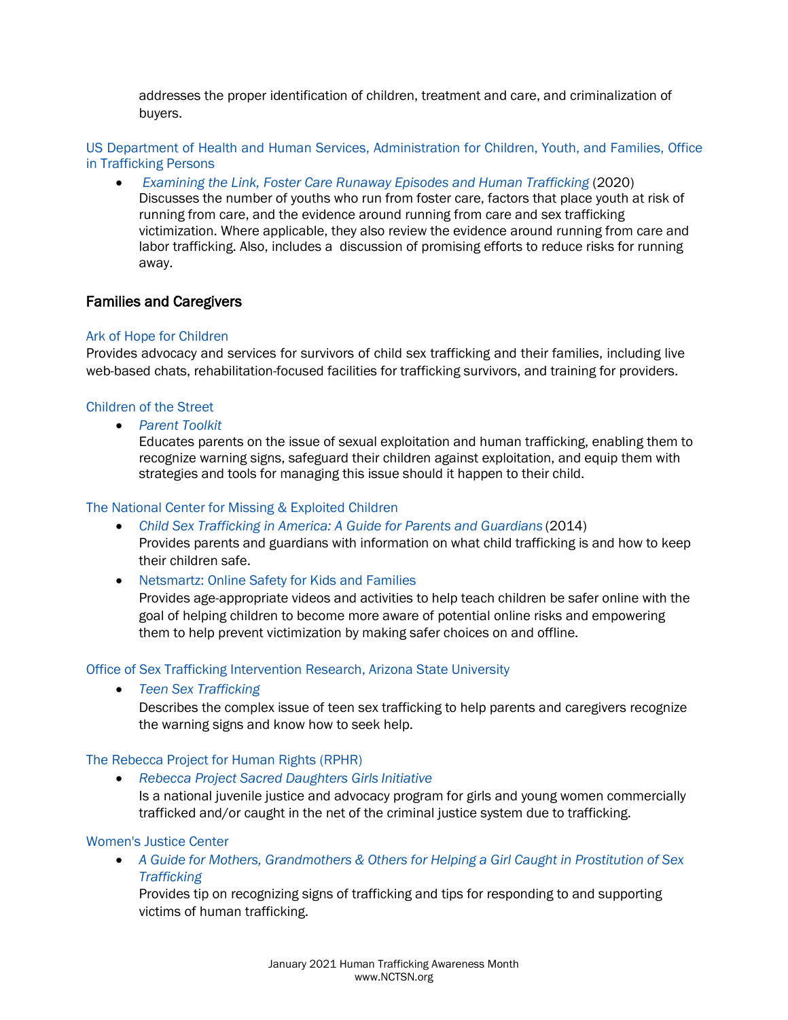addresses the proper identification of children, treatment and care, and criminalization of buyers.

[US Department of Health and Human Services, Administration for Children, Youth, and Families, Office](https://www.acf.hhs.gov/otip)  [in Trafficking Persons](https://www.acf.hhs.gov/otip)

• *[Examining the Link, Foster Care Runaway Episodes and Human Trafficking](https://www.acf.hhs.gov/sites/default/files/opre/foster_care_runaway_human_trafficking_october_2020_508.pdf)* (2020) Discusses the number of youths who run from foster care, factors that place youth at risk of running from care, and the evidence around running from care and sex trafficking victimization. Where applicable, they also review the evidence around running from care and labor trafficking. Also, includes a discussion of promising efforts to reduce risks for running away.

# Families and Caregivers

# [Ark of Hope for Children](https://arkofhopeforchildren.org/)

Provides advocacy and services for survivors of child sex trafficking and their families, including live web-based chats, rehabilitation-focused facilities for trafficking survivors, and training for providers.

# [Children of the Street](https://www.childrenofthestreet.com/)

• *[Parent Toolkit](https://www.childrenofthestreet.com/parent-toolkit)*

Educates parents on the issue of sexual exploitation and human trafficking, enabling them to recognize warning signs, safeguard their children against exploitation, and equip them with strategies and tools for managing this issue should it happen to their child.

### [The National Center for Missing & Exploited Children](http://www.missingkids.com/Home)

- *[Child Sex Trafficking in America: A Guide for Parents and Guardians](https://www.missingkids.org/content/dam/missingkids/pdfs/CSTinAmerica_ParentsGuardians.pdf)* (2014) Provides parents and guardians with information on what child trafficking is and how to keep their children safe.
- [Netsmartz: Online Safety for Kids and Families](https://www.missingkids.org/netsmartz/videos)

Provides age-appropriate videos and activities to help teach children be safer online with the goal of helping children to become more aware of potential online risks and empowering them to help prevent victimization by making safer choices on and offline.

#### [Office of Sex Trafficking Intervention Research, Arizona State University](https://socialwork.asu.edu/stir)

• *[Teen Sex Trafficking](https://socialwork.asu.edu/sites/default/files/Teen%20Sex%20Trafficking%20Awareness%20Training%20Brochure.pdf)* 

Describes the complex issue of teen sex trafficking to help parents and caregivers recognize the warning signs and know how to seek help.

### [The Rebecca Project for Human Rights \(RPHR\)](http://www.rebeccaprojectjustice.org/index.php)

• *[Rebecca Project Sacred Daughters Girls](http://rebeccaprojectjustice.org/our-work/) Initiative* Is a national juvenile justice and advocacy program for girls and young women commercially trafficked and/or caught in the net of the criminal justice system due to trafficking.

# [Women's Justice Center](https://www.justicewomen.com/news/)

• *A Guide for Mothers, [Grandmothers](http://justicewomen.com/guide/) & Others for Helping a Girl Caught in Prostitution of Se[x](http://justicewomen.com/guide/) [Trafficking](http://justicewomen.com/guide/)*

Provides tip on recognizing signs of trafficking and tips for responding to and supporting victims of human trafficking.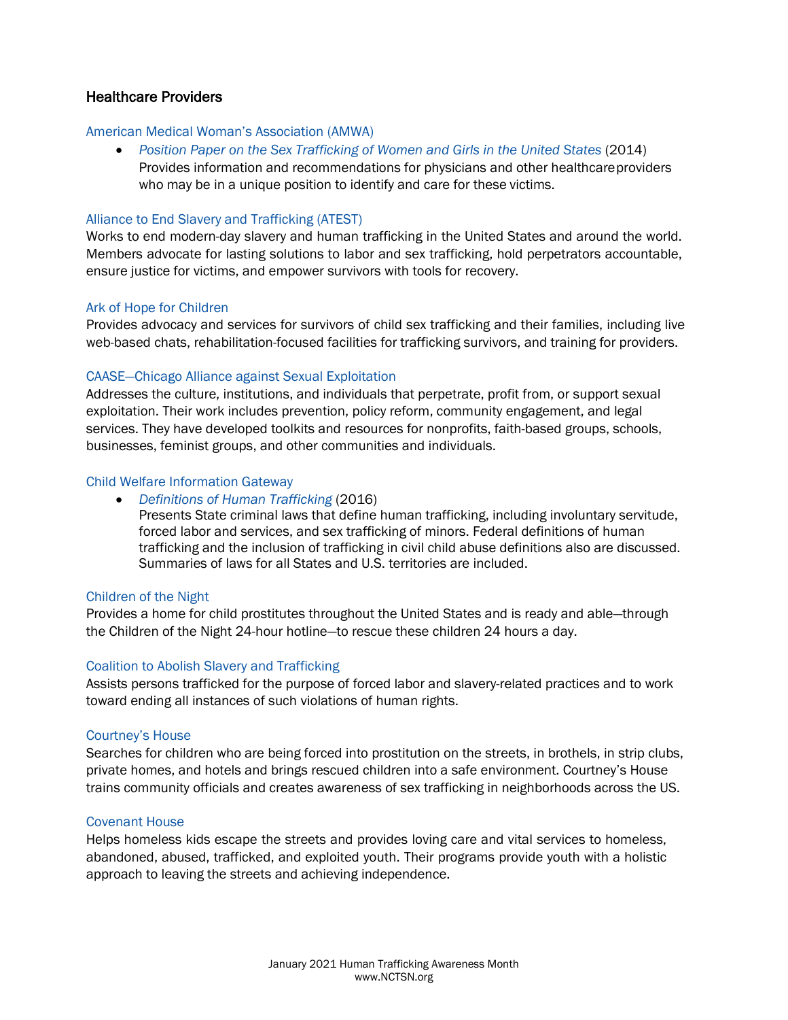# Healthcare Providers

### [American Medical Woman's Association \(AMWA\)](http://www.amwa-doc.org/)

• [Position Paper on the Sex Trafficking of Women and Girls in the United States](https://www.amwa-doc.org/wp-content/uploads/2013/12/AMWA-Position-Paper-on-Human-Sex-Trafficking_May-20141.pdf) (2014) Provides information and recommendations for physicians and other healthcareproviders who may be in a unique position to identify and care for these victims.

# [Alliance to End Slavery and Trafficking \(ATEST\)](http://endslaveryandtrafficking.org/)

Works to end modern-day slavery and human trafficking in the United States and around the world. Members advocate for lasting solutions to labor and sex trafficking, hold perpetrators accountable, ensure justice for victims, and empower survivors with tools for recovery.

### [Ark of Hope for Children](https://arkofhopeforchildren.org/)

Provides advocacy and services for survivors of child sex trafficking and their families, including live web-based chats, rehabilitation-focused facilities for trafficking survivors, and training for providers.

### [CAASE—Chicago Alliance against Sexual Exploitation](http://caase.org/)

Addresses the culture, institutions, and individuals that perpetrate, profit from, or support sexual exploitation. Their work includes prevention, policy reform, community engagement, and legal services. They have developed toolkits and resources for nonprofits, faith-based groups, schools, businesses, feminist groups, and other communities and individuals.

### [Child Welfare Information Gateway](https://www.childwelfare.gov/)

• *[Definitions of Human Trafficking](https://www.childwelfare.gov/topics/systemwide/laws-policies/statutes/definitions-trafficking/)* (2016)

Presents State criminal laws that define human trafficking, including involuntary servitude, forced labor and services, and sex trafficking of minors. Federal definitions of human trafficking and the inclusion of trafficking in civil child abuse definitions also are discussed. Summaries of laws for all States and U.S. territories are included.

#### [Children of the Night](https://www.childrenofthenight.org/)

Provides a home for child prostitutes throughout the United States and is ready and able—through the Children of the Night 24-hour hotline—to rescue these children 24 hours a day.

#### [Coalition to Abolish Slavery and Trafficking](https://www.castla.org/)

Assists persons trafficked for the purpose of forced labor and slavery-related practices and to work toward ending all instances of such violations of human rights.

#### [Courtney's House](http://www.courtneyshouse.org/)

Searches for children who are being forced into prostitution on the streets, in brothels, in strip clubs, private homes, and hotels and brings rescued children into a safe environment. Courtney's House trains community officials and creates awareness of sex trafficking in neighborhoods across the US.

### [Covenant House](https://www.covenanthouse.org/)

Helps homeless kids escape the streets and provides loving care and vital services to homeless, abandoned, abused, trafficked, and exploited youth. Their programs provide youth with a holistic approach to leaving the streets and achieving independence.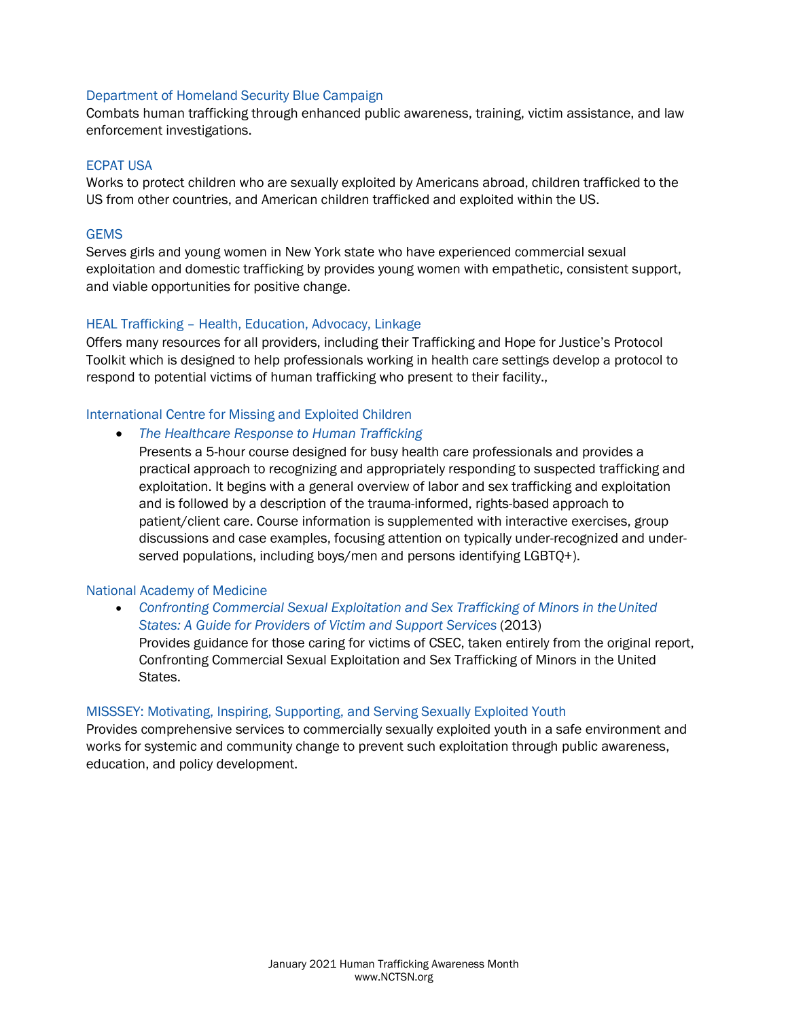### [Department of Homeland Security Blue Campaign](https://www.dhs.gov/blue-campaign)

Combats human trafficking through enhanced public awareness, training, victim assistance, and law enforcement investigations.

#### [ECPAT USA](https://www.ecpatusa.org/)

Works to protect children who are sexually exploited by Americans abroad, children trafficked to the US from other countries, and American children trafficked and exploited within the US.

# **[GEMS](http://www.gems-girls.org/)**

Serves girls and young women in New York state who have experienced commercial sexual exploitation and domestic trafficking by provides young women with empathetic, consistent support, and viable opportunities for positive change.

### HEAL Trafficking – [Health, Education, Advocacy, Linkage](https://healtrafficking.org/)

Offers many resources for all providers, including their Trafficking and Hope for Justice's Protocol Toolkit which is designed to help professionals working in health care settings develop a protocol to respond to potential victims of human trafficking who present to their facility.,

### [International Centre for Missing and Exploited Children](https://www.icmec.org/)

# • *[The Healthcare Response to Human Trafficking](https://training.icmec.org/courses/course-v1:icmec+ICMEC101+2020/about)*

Presents a 5-hour course designed for busy health care professionals and provides a practical approach to recognizing and appropriately responding to suspected trafficking and exploitation. It begins with a general overview of labor and sex trafficking and exploitation and is followed by a description of the trauma-informed, rights-based approach to patient/client care. Course information is supplemented with interactive exercises, group discussions and case examples, focusing attention on typically under-recognized and underserved populations, including boys/men and persons identifying LGBTQ+).

#### [National Academy of Medicine](https://www.nationalacademies.org/)

• *[Confronting Commercial Sexual Exploitation and Sex Trafficking of Minors in theUnited](https://www.nap.edu/catalog/18798/confronting-commercial-sexual-exploitation-and-sex-trafficking-of-minors-in-the-united-states) [States: A Guide for Providers of Victim and Support Services](https://www.nap.edu/catalog/18798/confronting-commercial-sexual-exploitation-and-sex-trafficking-of-minors-in-the-united-states)* (2013) Provides guidance for those caring for victims of CSEC, taken entirely from the original report, Confronting Commercial Sexual Exploitation and Sex Trafficking of Minors in the United States.

#### [MISSSEY: Motivating, Inspiring, Supporting, and Serving Sexually Exploited Youth](https://misssey.org/)

Provides comprehensive services to commercially sexually exploited youth in a safe environment and works for systemic and community change to prevent such exploitation through public awareness, education, and policy development.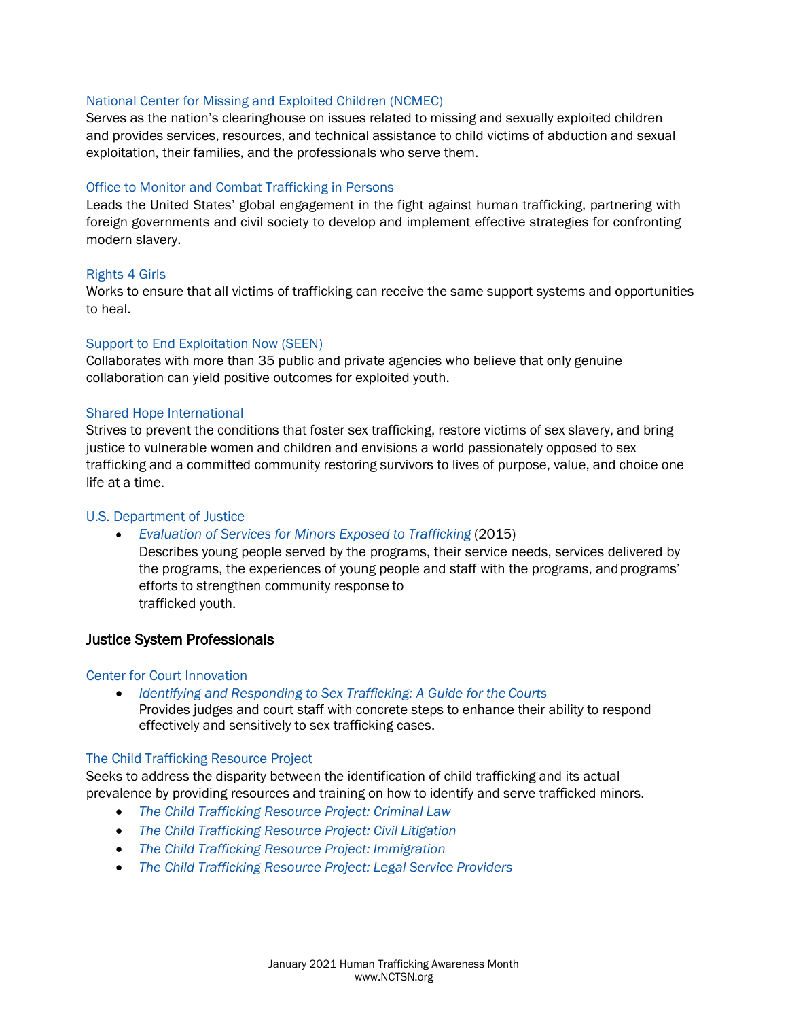### [National Center for Missing and Exploited Children \(NCMEC\)](http://www.missingkids.com/Home)

Serves as the nation's clearinghouse on issues related to missing and sexually exploited children and provides services, resources, and technical assistance to child victims of abduction and sexual exploitation, their families, and the professionals who serve them.

### [Office to Monitor and Combat Trafficking in Persons](http://www.state.gov/j/tip)

Leads the United States' global engagement in the fight against human trafficking, partnering with foreign governments and civil society to develop and implement effective strategies for confronting modern slavery.

#### [Rights 4 Girls](http://www.rights4girls.org/)

Works to ensure that all victims of trafficking can receive the same support systems and opportunities to heal.

### [Support to End Exploitation Now \(SEEN\)](https://www.suffolkcac.org/what-we-do/seen)

Collaborates with more than 35 public and private agencies who believe that only genuine collaboration can yield positive outcomes for exploited youth.

### [Shared Hope International](http://sharedhope.org/)

Strives to prevent the conditions that foster sex trafficking, restore victims of sex slavery, and bring justice to vulnerable women and children and envisions a world passionately opposed to sex trafficking and a committed community restoring survivors to lives of purpose, value, and choice one life at a time.

#### [U.S. Department of Justice](http://www.justice.gov/)

• *[Evaluation of Services for Minors Exposed to Trafficking](https://www.ncjrs.gov/pdffiles1/nij/grants/248578.pdf)* (2015)

Describes young people served by the programs, their service needs, services delivered by the programs, the experiences of young people and staff with the programs, andprograms' efforts to strengthen community response to trafficked youth.

# Justice System Professionals

#### [Center for Court Innovation](http://www.courtinnovation.org/)

• *[Identifying and Responding to Sex Trafficking: A Guide for the](http://www.courtinnovation.org/sites/default/files/documents/DV_SJI_Risk%20Need_.pdf) Courts* Provides judges and court staff with concrete steps to enhance their ability to respond effectively and sensitively to sex trafficking cases.

#### [The Child Trafficking Resource Project](https://thectrp.wordpress.com/)

Seeks to address the disparity between the identification of child trafficking and its actual prevalence by providing resources and training on how to identify and serve trafficked minors.

- *[The Child Trafficking Resource Project: Criminal](https://thectrp.wordpress.com/criminal/) Law*
- *[The Child Trafficking Resource Project: Civil](https://thectrp.wordpress.com/civil-litigation/) Litigation*
- *[The Child Trafficking Resource Project:](https://thectrp.wordpress.com/immigration/) Immigration*
- *[The Child Trafficking Resource Project: Legal Service](https://thectrp.wordpress.com/identification/) Providers*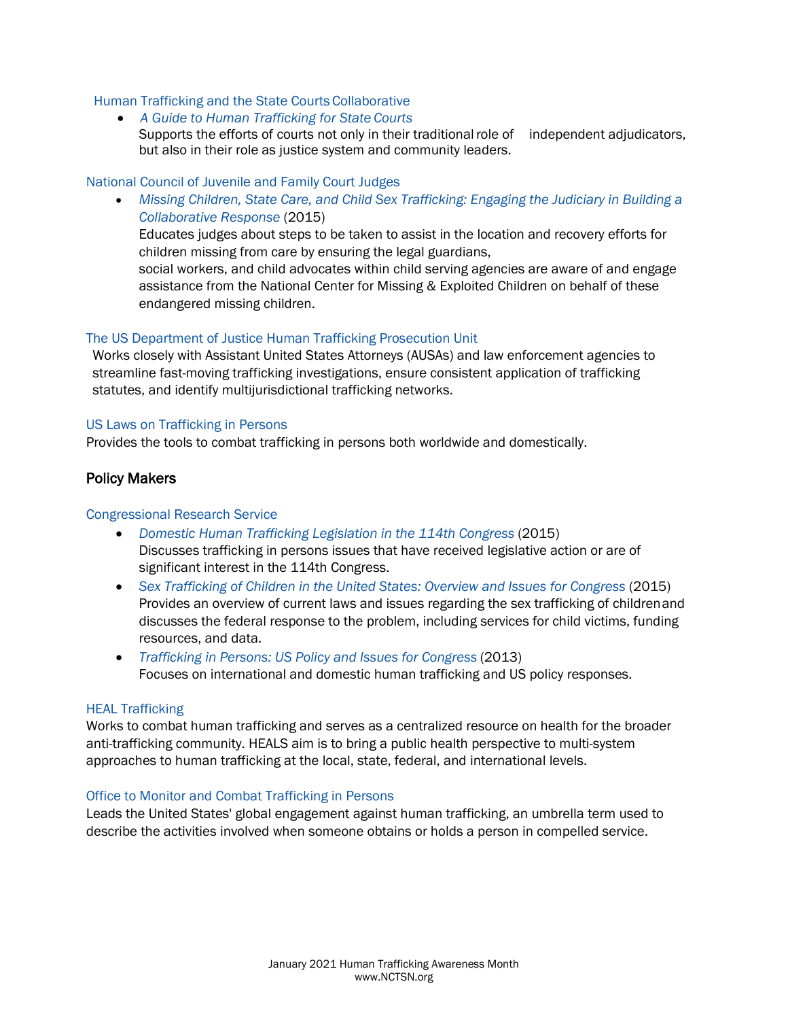### [Human Trafficking and the State Courts](http://www.htcourts.org/) Collaborative

• *[A Guide to Human Trafficking for State](http://www.htcourts.org/guide-chapter1.htm) Courts* Supports the efforts of courts not only in their traditional role of independent adjudicators, but also in their role as justice system and community leaders.

#### [National Council of Juvenile and Family Court Judges](http://www.ncjfcj.org/)

• *[Missing Children, State Care, and Child Sex Trafficking: Engaging the Judiciary in Building a](https://www.ncjfcj.org/publications/missing-children-state-care-and-child-sex-trafficking-engaging-the-judiciary-in-building-a-collaborative-response/)  [Collaborative Response](https://www.ncjfcj.org/publications/missing-children-state-care-and-child-sex-trafficking-engaging-the-judiciary-in-building-a-collaborative-response/)* (2015)

Educates judges about steps to be taken to assist in the location and recovery efforts for children missing from care by ensuring the legal guardians,

social workers, and child advocates within child serving agencies are aware of and engage assistance from the National Center for Missing & Exploited Children on behalf of these endangered missing children.

#### [The US Department of Justice Human Trafficking Prosecution Unit](https://www.justice.gov/crt/human-trafficking-prosecution-unit-htpu)

Works closely with Assistant United States Attorneys (AUSAs) and law enforcement agencies to streamline fast-moving trafficking investigations, ensure consistent application of trafficking statutes, and identify multijurisdictional trafficking networks.

#### [US Laws on Trafficking in Persons](http://www.state.gov/j/tip/laws/)

Provides the tools to combat trafficking in persons both worldwide and domestically.

# Policy Makers

#### [Congressional Research Service](https://crsreports.congress.gov/)

- *[Domestic Human Trafficking Legislation in the 114th Congress](https://fas.org/sgp/crs/misc/R43917.pdf)* (2015) Discusses trafficking in persons issues that have received legislative action or are of significant interest in the 114th Congress.
- [Sex Trafficking of Children in the United States: Overview and Issues for Congress](https://fas.org/sgp/crs/misc/R41878.pdf) (2015) Provides an overview of current laws and issues regarding the sex trafficking of childrenand discusses the federal response to the problem, including services for child victims, funding resources, and data.
- *[Trafficking in Persons: US Policy and Issues for Congress](https://fas.org/sgp/crs/row/RL34317.pdf)* (2013) Focuses on international and domestic human trafficking and US policy responses.

#### [HEAL Trafficking](https://healtrafficking.wordpress.com/)

Works to combat human trafficking and serves as a centralized resource on health for the broader anti-trafficking community. HEALS aim is to bring a public health perspective to multi-system approaches to human trafficking at the local, state, federal, and international levels.

#### [Office to Monitor and Combat Trafficking in Persons](http://www.state.gov/j/tip)

Leads the United States' global engagement against human trafficking, an umbrella term used to describe the activities involved when someone obtains or holds a person in compelled service.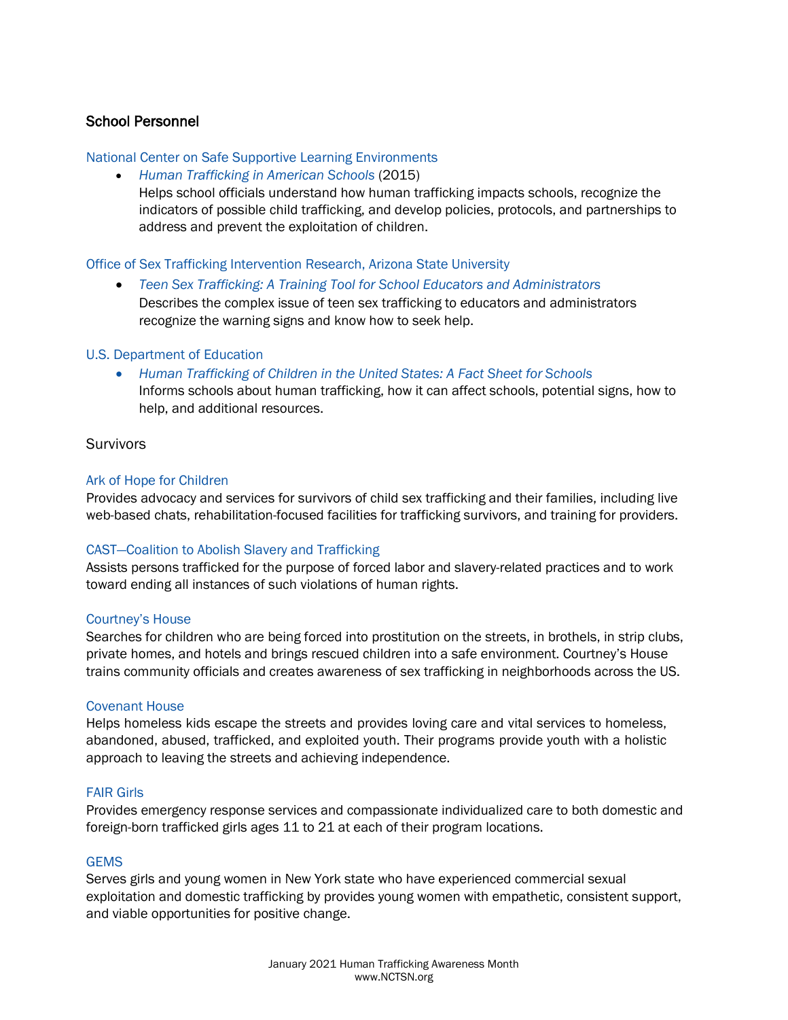# School Personnel

### [National Center on Safe Supportive Learning Environments](https://safesupportivelearning.ed.gov/)

• *[Human Trafficking in American Schools](http://safesupportivelearning.ed.gov/human-trafficking-americas-schools)* (2015) Helps school officials understand how human trafficking impacts schools, recognize the indicators of possible child trafficking, and develop policies, protocols, and partnerships to address and prevent the exploitation of children.

### [Office of Sex Trafficking Intervention Research, Arizona State](https://socialwork.asu.edu/stir) University

• *[Teen Sex Trafficking: A Training Tool for School Educators and Administrators](https://socialwork.asu.edu/sites/default/files/school%20educators%20and%20school%20admin%20brochure.pdf)*

Describes the complex issue of teen sex trafficking to educators and administrators recognize the warning signs and know how to seek help.

### [U.S. Department of Education](http://www.ed.gov/)

• *[Human Trafficking of Children in the United States: A Fact Sheet for](https://www2.ed.gov/about/offices/list/oese/oshs/factsheet.html) Schools* Informs schools about human trafficking, how it can affect schools, potential signs, how to help, and additional resources.

### Survivors

### [Ark of Hope for Children](https://arkofhopeforchildren.org/)

Provides advocacy and services for survivors of child sex trafficking and their families, including live web-based chats, rehabilitation-focused facilities for trafficking survivors, and training for providers.

# [CAST—Coalition to Abolish Slavery and Trafficking](https://castla.org/)

Assists persons trafficked for the purpose of forced labor and slavery-related practices and to work toward ending all instances of such violations of human rights.

#### [Courtney's House](http://www.courtneyshouse.org/)

Searches for children who are being forced into prostitution on the streets, in brothels, in strip clubs, private homes, and hotels and brings rescued children into a safe environment. Courtney's House trains community officials and creates awareness of sex trafficking in neighborhoods across the US.

#### [Covenant House](https://www.covenanthouse.org/)

Helps homeless kids escape the streets and provides loving care and vital services to homeless, abandoned, abused, trafficked, and exploited youth. Their programs provide youth with a holistic approach to leaving the streets and achieving independence.

### [FAIR](http://fairgirls.org/) Girls

Provides emergency response services and compassionate individualized care to both domestic and foreign-born trafficked girls ages 11 to 21 at each of their program locations.

#### **GFMS**

Serves girls and young women in New York state who have experienced commercial sexual exploitation and domestic trafficking by provides young women with empathetic, consistent support, and viable opportunities for positive change.